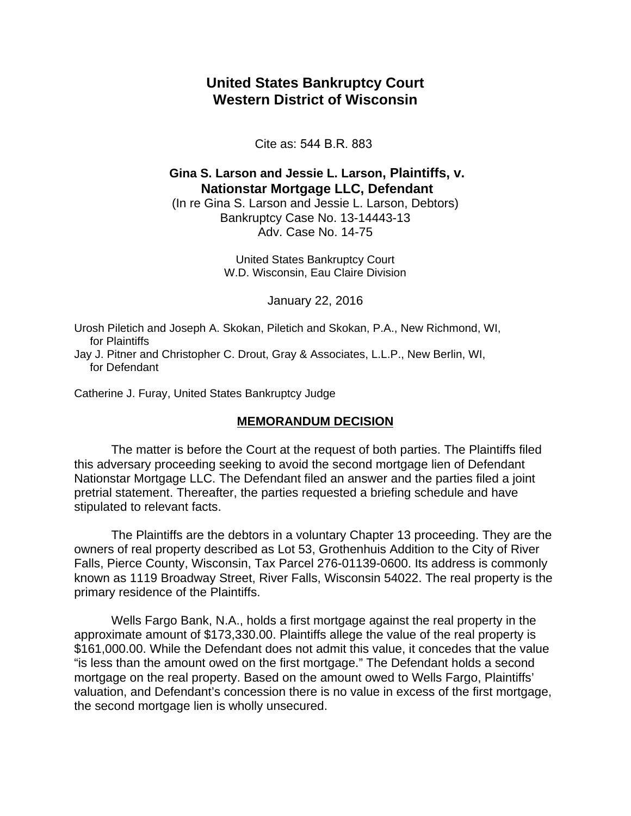## **United States Bankruptcy Court Western District of Wisconsin**

Cite as: 544 B.R. 883

## **Gina S. Larson and Jessie L. Larson, Plaintiffs, v. Nationstar Mortgage LLC, Defendant**

(In re Gina S. Larson and Jessie L. Larson, Debtors) Bankruptcy Case No. 13-14443-13 Adv. Case No. 14-75

> United States Bankruptcy Court W.D. Wisconsin, Eau Claire Division

> > January 22, 2016

Urosh Piletich and Joseph A. Skokan, Piletich and Skokan, P.A., New Richmond, WI, for Plaintiffs

Jay J. Pitner and Christopher C. Drout, Gray & Associates, L.L.P., New Berlin, WI, for Defendant

Catherine J. Furay, United States Bankruptcy Judge

## **MEMORANDUM DECISION**

The matter is before the Court at the request of both parties. The Plaintiffs filed this adversary proceeding seeking to avoid the second mortgage lien of Defendant Nationstar Mortgage LLC. The Defendant filed an answer and the parties filed a joint pretrial statement. Thereafter, the parties requested a briefing schedule and have stipulated to relevant facts.

The Plaintiffs are the debtors in a voluntary Chapter 13 proceeding. They are the owners of real property described as Lot 53, Grothenhuis Addition to the City of River Falls, Pierce County, Wisconsin, Tax Parcel 276-01139-0600. Its address is commonly known as 1119 Broadway Street, River Falls, Wisconsin 54022. The real property is the primary residence of the Plaintiffs.

Wells Fargo Bank, N.A., holds a first mortgage against the real property in the approximate amount of \$173,330.00. Plaintiffs allege the value of the real property is \$161,000.00. While the Defendant does not admit this value, it concedes that the value "is less than the amount owed on the first mortgage." The Defendant holds a second mortgage on the real property. Based on the amount owed to Wells Fargo, Plaintiffs' valuation, and Defendant's concession there is no value in excess of the first mortgage, the second mortgage lien is wholly unsecured.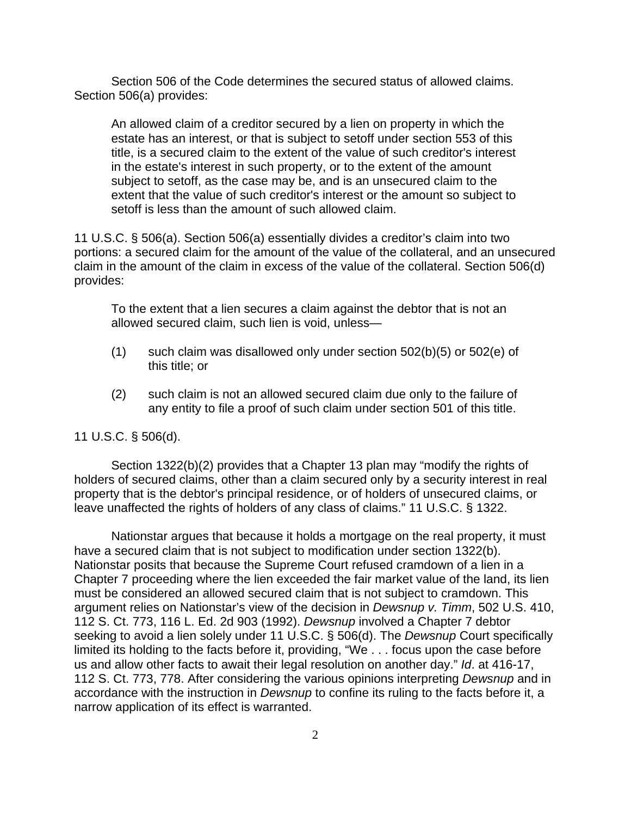Section 506 of the Code determines the secured status of allowed claims. Section 506(a) provides:

An allowed claim of a creditor secured by a lien on property in which the estate has an interest, or that is subject to setoff under section 553 of this title, is a secured claim to the extent of the value of such creditor's interest in the estate's interest in such property, or to the extent of the amount subject to setoff, as the case may be, and is an unsecured claim to the extent that the value of such creditor's interest or the amount so subject to setoff is less than the amount of such allowed claim.

11 U.S.C. § 506(a). Section 506(a) essentially divides a creditor's claim into two portions: a secured claim for the amount of the value of the collateral, and an unsecured claim in the amount of the claim in excess of the value of the collateral. Section 506(d) provides:

To the extent that a lien secures a claim against the debtor that is not an allowed secured claim, such lien is void, unless—

- $(1)$  such claim was disallowed only under section  $502(b)(5)$  or  $502(e)$  of this title; or
- (2) such claim is not an allowed secured claim due only to the failure of any entity to file a proof of such claim under section 501 of this title.

## 11 U.S.C. § 506(d).

Section 1322(b)(2) provides that a Chapter 13 plan may "modify the rights of holders of secured claims, other than a claim secured only by a security interest in real property that is the debtor's principal residence, or of holders of unsecured claims, or leave unaffected the rights of holders of any class of claims." 11 U.S.C. § 1322.

Nationstar argues that because it holds a mortgage on the real property, it must have a secured claim that is not subject to modification under section 1322(b). Nationstar posits that because the Supreme Court refused cramdown of a lien in a Chapter 7 proceeding where the lien exceeded the fair market value of the land, its lien must be considered an allowed secured claim that is not subject to cramdown. This argument relies on Nationstar's view of the decision in *Dewsnup v. Timm*, 502 U.S. 410, 112 S. Ct. 773, 116 L. Ed. 2d 903 (1992). *Dewsnup* involved a Chapter 7 debtor seeking to avoid a lien solely under 11 U.S.C. § 506(d). The *Dewsnup* Court specifically limited its holding to the facts before it, providing, "We . . . focus upon the case before us and allow other facts to await their legal resolution on another day." *Id*. at 416-17, 112 S. Ct. 773, 778. After considering the various opinions interpreting *Dewsnup* and in accordance with the instruction in *Dewsnup* to confine its ruling to the facts before it, a narrow application of its effect is warranted.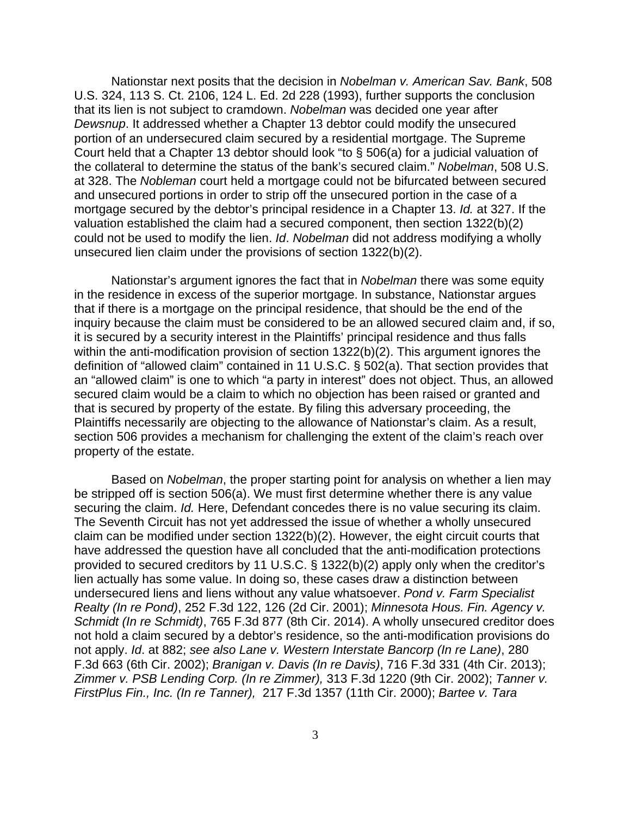Nationstar next posits that the decision in *Nobelman v. American Sav. Bank*, 508 U.S. 324, 113 S. Ct. 2106, 124 L. Ed. 2d 228 (1993), further supports the conclusion that its lien is not subject to cramdown. *Nobelman* was decided one year after *Dewsnup*. It addressed whether a Chapter 13 debtor could modify the unsecured portion of an undersecured claim secured by a residential mortgage. The Supreme Court held that a Chapter 13 debtor should look "to § 506(a) for a judicial valuation of the collateral to determine the status of the bank's secured claim." *Nobelman*, 508 U.S. at 328. The *Nobleman* court held a mortgage could not be bifurcated between secured and unsecured portions in order to strip off the unsecured portion in the case of a mortgage secured by the debtor's principal residence in a Chapter 13. *Id.* at 327. If the valuation established the claim had a secured component, then section 1322(b)(2) could not be used to modify the lien. *Id*. *Nobelman* did not address modifying a wholly unsecured lien claim under the provisions of section 1322(b)(2).

Nationstar's argument ignores the fact that in *Nobelman* there was some equity in the residence in excess of the superior mortgage. In substance, Nationstar argues that if there is a mortgage on the principal residence, that should be the end of the inquiry because the claim must be considered to be an allowed secured claim and, if so, it is secured by a security interest in the Plaintiffs' principal residence and thus falls within the anti-modification provision of section 1322(b)(2). This argument ignores the definition of "allowed claim" contained in 11 U.S.C. § 502(a). That section provides that an "allowed claim" is one to which "a party in interest" does not object. Thus, an allowed secured claim would be a claim to which no objection has been raised or granted and that is secured by property of the estate. By filing this adversary proceeding, the Plaintiffs necessarily are objecting to the allowance of Nationstar's claim. As a result, section 506 provides a mechanism for challenging the extent of the claim's reach over property of the estate.

Based on *Nobelman*, the proper starting point for analysis on whether a lien may be stripped off is section 506(a). We must first determine whether there is any value securing the claim. *Id.* Here, Defendant concedes there is no value securing its claim. The Seventh Circuit has not yet addressed the issue of whether a wholly unsecured claim can be modified under section 1322(b)(2). However, the eight circuit courts that have addressed the question have all concluded that the anti-modification protections provided to secured creditors by 11 U.S.C. § 1322(b)(2) apply only when the creditor's lien actually has some value. In doing so, these cases draw a distinction between undersecured liens and liens without any value whatsoever. *Pond v. Farm Specialist Realty (In re Pond)*, 252 F.3d 122, 126 (2d Cir. 2001); *Minnesota Hous. Fin. Agency v. Schmidt (In re Schmidt)*, 765 F.3d 877 (8th Cir. 2014). A wholly unsecured creditor does not hold a claim secured by a debtor's residence, so the anti-modification provisions do not apply. *Id*. at 882; *see also Lane v. Western Interstate Bancorp (In re Lane)*, 280 F.3d 663 (6th Cir. 2002); *Branigan v. Davis (In re Davis)*, 716 F.3d 331 (4th Cir. 2013); *Zimmer v. PSB Lending Corp. (In re Zimmer),* 313 F.3d 1220 (9th Cir. 2002); *Tanner v. FirstPlus Fin., Inc. (In re Tanner),* 217 F.3d 1357 (11th Cir. 2000); *Bartee v. Tara*